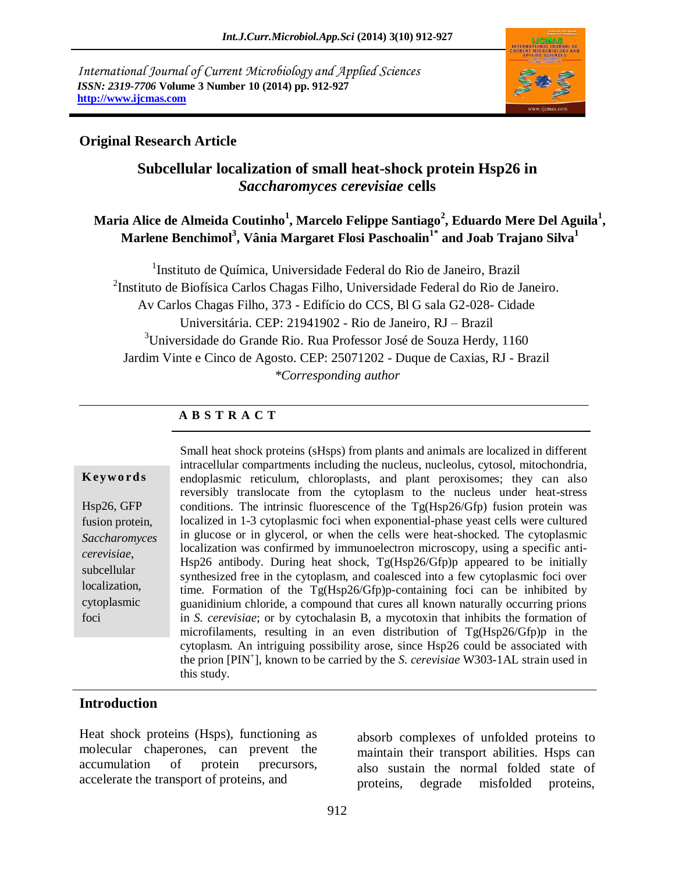*International Journal of Current Microbiology and Applied Sciences ISSN: 2319-7706* **Volume 3 Number 10 (2014) pp. 912-927 http://www.ijcmas.com** 



## **Original Research Article**

# **Subcellular localization of small heat-shock protein Hsp26 in**  *Saccharomyces cerevisiae* **cells**

# **Maria Alice de Almeida Coutinho<sup>1</sup> , Marcelo Felippe Santiago<sup>2</sup> , Eduardo Mere Del Aguila<sup>1</sup> , Marlene Benchimol<sup>3</sup> , Vânia Margaret Flosi Paschoalin1\* and Joab Trajano Silva<sup>1</sup>**

<sup>1</sup>Instituto de Química, Universidade Federal do Rio de Janeiro, Brazil <sup>2</sup>Instituto de Biofísica Carlos Chagas Filho, Universidade Federal do Rio de Janeiro. Av Carlos Chagas Filho, 373 - Edifício do CCS, Bl G sala G2-028- Cidade Universitária. CEP: 21941902 - Rio de Janeiro, RJ – Brazil  $3$ Universidade do Grande Rio. Rua Professor José de Souza Herdy, 1160 Jardim Vinte e Cinco de Agosto. CEP: 25071202 - Duque de Caxias, RJ - Brazil *\*Corresponding author* 

## **A B S T R A C T**

#### **K ey w o rd s**

Hsp26, GFP fusion protein, *Saccharomyces cerevisiae*, subcellular localization, cytoplasmic foci

Small heat shock proteins (sHsps) from plants and animals are localized in different intracellular compartments including the nucleus, nucleolus, cytosol, mitochondria, endoplasmic reticulum, chloroplasts, and plant peroxisomes; they can also reversibly translocate from the cytoplasm to the nucleus under heat-stress conditions. The intrinsic fluorescence of the Tg(Hsp26/Gfp) fusion protein was localized in 1-3 cytoplasmic foci when exponential-phase yeast cells were cultured in glucose or in glycerol, or when the cells were heat-shocked. The cytoplasmic localization was confirmed by immunoelectron microscopy, using a specific anti-Hsp26 antibody. During heat shock, Tg(Hsp26/Gfp)p appeared to be initially synthesized free in the cytoplasm, and coalesced into a few cytoplasmic foci over time. Formation of the Tg(Hsp26/Gfp)p-containing foci can be inhibited by guanidinium chloride, a compound that cures all known naturally occurring prions in *S. cerevisiae*; or by cytochalasin B, a mycotoxin that inhibits the formation of microfilaments, resulting in an even distribution of Tg(Hsp26/Gfp)p in the cytoplasm. An intriguing possibility arose, since Hsp26 could be associated with the prion [PIN<sup>+</sup> ], known to be carried by the *S. cerevisiae* W303-1AL strain used in this study.

### **Introduction**

Heat shock proteins (Hsps), functioning as molecular chaperones, can prevent the accumulation of protein precursors, accelerate the transport of proteins, and

absorb complexes of unfolded proteins to maintain their transport abilities. Hsps can also sustain the normal folded state of proteins, degrade misfolded proteins,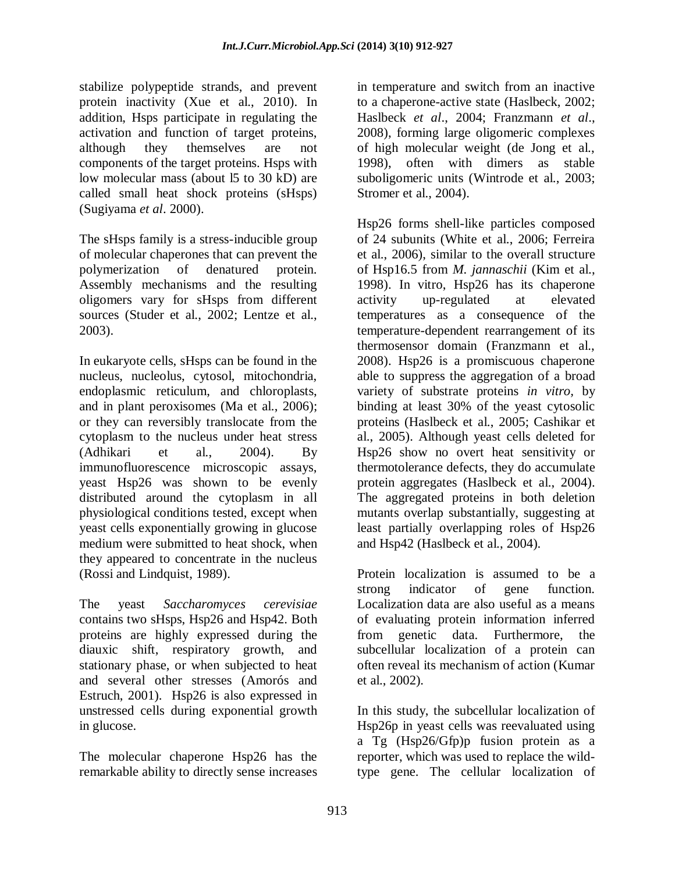stabilize polypeptide strands, and prevent protein inactivity (Xue et al., 2010). In addition, Hsps participate in regulating the activation and function of target proteins, although they themselves are not components of the target proteins. Hsps with low molecular mass (about l5 to 30 kD) are called small heat shock proteins (sHsps) (Sugiyama *et al*. 2000).

The sHsps family is a stress-inducible group of molecular chaperones that can prevent the polymerization of denatured protein. Assembly mechanisms and the resulting oligomers vary for sHsps from different sources (Studer et al., 2002; Lentze et al., 2003).

In eukaryote cells, sHsps can be found in the nucleus, nucleolus, cytosol, mitochondria, endoplasmic reticulum, and chloroplasts, and in plant peroxisomes (Ma et al., 2006); or they can reversibly translocate from the cytoplasm to the nucleus under heat stress (Adhikari et al., 2004). By immunofluorescence microscopic assays, yeast Hsp26 was shown to be evenly distributed around the cytoplasm in all physiological conditions tested, except when yeast cells exponentially growing in glucose medium were submitted to heat shock, when they appeared to concentrate in the nucleus (Rossi and Lindquist, 1989).

The yeast *Saccharomyces cerevisiae* contains two sHsps, Hsp26 and Hsp42. Both proteins are highly expressed during the diauxic shift, respiratory growth, and stationary phase, or when subjected to heat and several other stresses (Amorós and Estruch, 2001). Hsp26 is also expressed in unstressed cells during exponential growth in glucose.

The molecular chaperone Hsp26 has the remarkable ability to directly sense increases in temperature and switch from an inactive to a chaperone-active state (Haslbeck, 2002; Haslbeck *et al*., 2004; Franzmann *et al*., 2008), forming large oligomeric complexes of high molecular weight (de Jong et al., 1998), often with dimers as stable suboligomeric units (Wintrode et al., 2003; Stromer et al., 2004).

Hsp26 forms shell-like particles composed of 24 subunits (White et al., 2006; Ferreira et al., 2006), similar to the overall structure of Hsp16.5 from *M. jannaschii* (Kim et al., 1998). In vitro, Hsp26 has its chaperone activity up-regulated at elevated temperatures as a consequence of the temperature-dependent rearrangement of its thermosensor domain (Franzmann et al., 2008). Hsp26 is a promiscuous chaperone able to suppress the aggregation of a broad variety of substrate proteins *in vitro,* by binding at least 30% of the yeast cytosolic proteins (Haslbeck et al., 2005; Cashikar et al., 2005). Although yeast cells deleted for Hsp26 show no overt heat sensitivity or thermotolerance defects, they do accumulate protein aggregates (Haslbeck et al., 2004). The aggregated proteins in both deletion mutants overlap substantially, suggesting at least partially overlapping roles of Hsp26 and Hsp42 (Haslbeck et al., 2004).

Protein localization is assumed to be a strong indicator of gene function. Localization data are also useful as a means of evaluating protein information inferred from genetic data. Furthermore, the subcellular localization of a protein can often reveal its mechanism of action (Kumar et al., 2002).

In this study, the subcellular localization of Hsp26p in yeast cells was reevaluated using a Tg (Hsp26/Gfp)p fusion protein as a reporter, which was used to replace the wildtype gene. The cellular localization of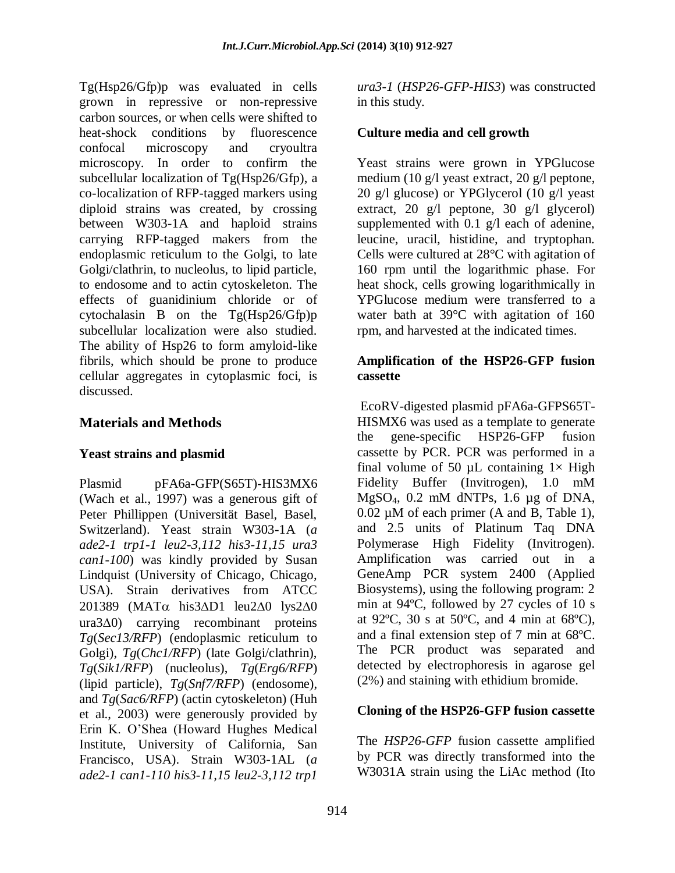Tg(Hsp26/Gfp)p was evaluated in cells grown in repressive or non-repressive carbon sources, or when cells were shifted to heat-shock conditions by fluorescence confocal microscopy and cryoultra microscopy. In order to confirm the subcellular localization of Tg(Hsp26/Gfp), a co-localization of RFP-tagged markers using diploid strains was created, by crossing between W303-1A and haploid strains carrying RFP-tagged makers from the endoplasmic reticulum to the Golgi, to late Golgi/clathrin, to nucleolus, to lipid particle, to endosome and to actin cytoskeleton. The effects of guanidinium chloride or of cytochalasin B on the Tg(Hsp26/Gfp)p subcellular localization were also studied. The ability of Hsp26 to form amyloid-like fibrils, which should be prone to produce cellular aggregates in cytoplasmic foci, is discussed.

## **Materials and Methods**

### **Yeast strains and plasmid**

Plasmid pFA6a-GFP(S65T)-HIS3MX6 (Wach et al., 1997) was a generous gift of Peter Phillippen (Universität Basel, Basel, Switzerland). Yeast strain W303-1A (*a ade2-1 trp1-1 leu2-3,112 his3-11,15 ura3 can1-100*) was kindly provided by Susan Lindquist (University of Chicago, Chicago, USA). Strain derivatives from ATCC  $201389$  (MAT $\alpha$  his $3\Delta D1$  leu $2\Delta 0$  lys $2\Delta 0$  $ura3\Delta 0$  carrying recombinant proteins *Tg*(*Sec13/RFP*) (endoplasmic reticulum to Golgi), *Tg*(*Chc1/RFP*) (late Golgi/clathrin), *Tg*(*Sik1/RFP*) (nucleolus), *Tg*(*Erg6/RFP*) (lipid particle), *Tg*(*Snf7/RFP*) (endosome), and *Tg*(*Sac6/RFP*) (actin cytoskeleton) (Huh et al., 2003) were generously provided by Erin K. O'Shea (Howard Hughes Medical Institute, University of California, San Francisco, USA). Strain W303-1AL (*a ade2-1 can1-110 his3-11,15 leu2-3,112 trp1* 

*ura3-1* (*HSP26-GFP-HIS3*) was constructed in this study.

### **Culture media and cell growth**

Yeast strains were grown in YPGlucose medium (10 g/l yeast extract, 20 g/l peptone, 20 g/l glucose) or YPGlycerol (10 g/l yeast extract, 20 g/l peptone, 30 g/l glycerol) supplemented with 0.1 g/l each of adenine, leucine, uracil, histidine, and tryptophan. Cells were cultured at 28°C with agitation of 160 rpm until the logarithmic phase. For heat shock, cells growing logarithmically in YPGlucose medium were transferred to a water bath at 39°C with agitation of 160 rpm, and harvested at the indicated times.

### **Amplification of the HSP26-GFP fusion cassette**

EcoRV-digested plasmid pFA6a-GFPS65T-HISMX6 was used as a template to generate the gene-specific HSP26-GFP fusion cassette by PCR. PCR was performed in a final volume of 50  $\mu$ L containing  $1 \times$  High Fidelity Buffer (Invitrogen), 1.0 mM MgSO4, 0.2 mM dNTPs, 1.6 µg of DNA, 0.02 µM of each primer (A and B, Table 1), and 2.5 units of Platinum Taq DNA Polymerase High Fidelity (Invitrogen). Amplification was carried out in a GeneAmp PCR system 2400 (Applied Biosystems), using the following program: 2 min at 94ºC, followed by 27 cycles of 10 s at 92 $^{\circ}$ C, 30 s at 50 $^{\circ}$ C, and 4 min at 68 $^{\circ}$ C), and a final extension step of 7 min at 68ºC. The PCR product was separated and detected by electrophoresis in agarose gel (2%) and staining with ethidium bromide.

### **Cloning of the HSP26-GFP fusion cassette**

The *HSP26-GFP* fusion cassette amplified by PCR was directly transformed into the W3031A strain using the LiAc method (Ito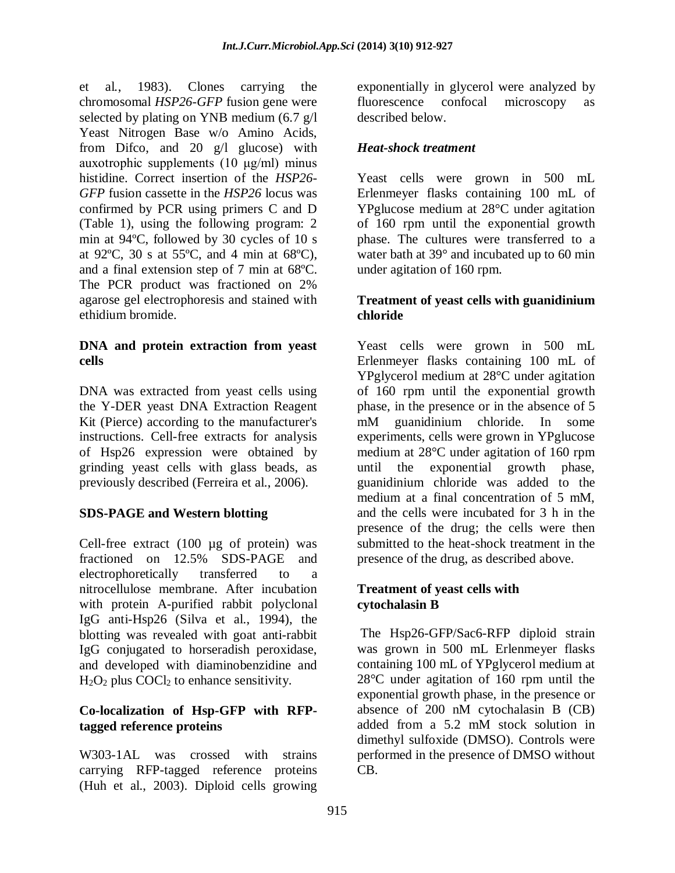et al*.*, 1983). Clones carrying the chromosomal *HSP26-GFP* fusion gene were selected by plating on YNB medium (6.7 g/l Yeast Nitrogen Base w/o Amino Acids, from Difco, and 20 g/l glucose) with auxotrophic supplements (10 μg/ml) minus histidine. Correct insertion of the *HSP26- GFP* fusion cassette in the *HSP26* locus was confirmed by PCR using primers C and D (Table 1), using the following program: 2 min at 94ºC, followed by 30 cycles of 10 s at 92 $^{\circ}$ C, 30 s at 55 $^{\circ}$ C, and 4 min at 68 $^{\circ}$ C), and a final extension step of 7 min at 68ºC. The PCR product was fractioned on 2% agarose gel electrophoresis and stained with ethidium bromide.

### **DNA and protein extraction from yeast cells**

DNA was extracted from yeast cells using the Y-DER yeast DNA Extraction Reagent Kit (Pierce) according to the manufacturer's instructions. Cell-free extracts for analysis of Hsp26 expression were obtained by grinding yeast cells with glass beads, as previously described (Ferreira et al., 2006).

# **SDS-PAGE and Western blotting**

Cell-free extract (100 µg of protein) was fractioned on 12.5% SDS-PAGE and electrophoretically transferred to a nitrocellulose membrane. After incubation with protein A-purified rabbit polyclonal IgG anti-Hsp26 (Silva et al., 1994), the blotting was revealed with goat anti-rabbit IgG conjugated to horseradish peroxidase, and developed with diaminobenzidine and  $H_2O_2$  plus COCl<sub>2</sub> to enhance sensitivity.

# **Co-localization of Hsp-GFP with RFPtagged reference proteins**

W303-1AL was crossed with strains carrying RFP-tagged reference proteins (Huh et al., 2003). Diploid cells growing exponentially in glycerol were analyzed by fluorescence confocal microscopy as described below.

# *Heat-shock treatment*

Yeast cells were grown in 500 mL Erlenmeyer flasks containing 100 mL of YPglucose medium at 28°C under agitation of 160 rpm until the exponential growth phase. The cultures were transferred to a water bath at 39° and incubated up to 60 min under agitation of 160 rpm.

## **Treatment of yeast cells with guanidinium chloride**

Yeast cells were grown in 500 mL Erlenmeyer flasks containing 100 mL of YPglycerol medium at 28°C under agitation of 160 rpm until the exponential growth phase, in the presence or in the absence of 5 mM guanidinium chloride. In some experiments, cells were grown in YPglucose medium at 28°C under agitation of 160 rpm until the exponential growth phase, guanidinium chloride was added to the medium at a final concentration of 5 mM, and the cells were incubated for 3 h in the presence of the drug; the cells were then submitted to the heat-shock treatment in the presence of the drug, as described above.

### **Treatment of yeast cells with cytochalasin B**

The Hsp26-GFP/Sac6-RFP diploid strain was grown in 500 mL Erlenmeyer flasks containing 100 mL of YPglycerol medium at 28°C under agitation of 160 rpm until the exponential growth phase, in the presence or absence of 200 nM cytochalasin B (CB) added from a 5.2 mM stock solution in dimethyl sulfoxide (DMSO). Controls were performed in the presence of DMSO without CB.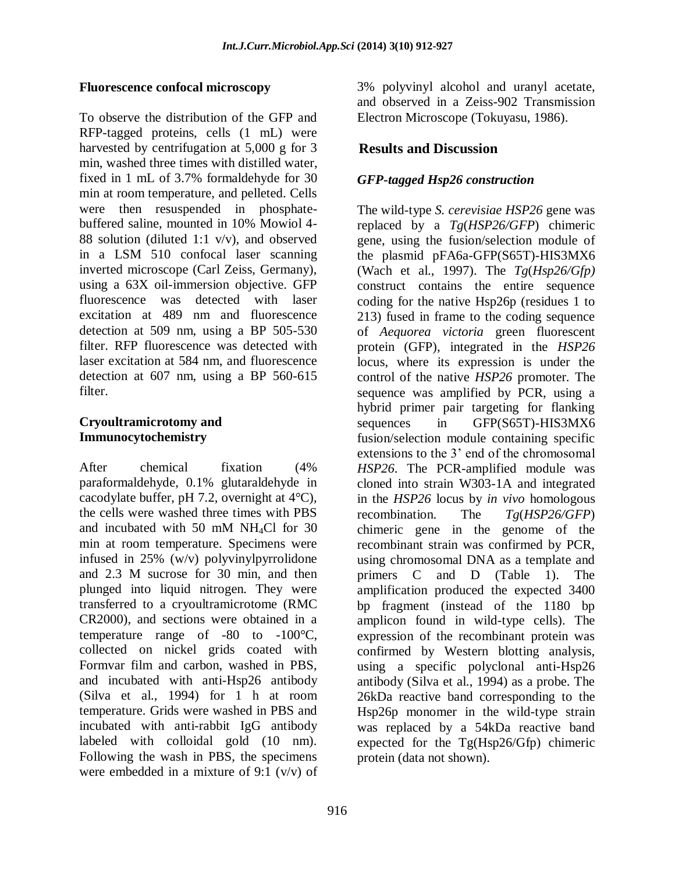### **Fluorescence confocal microscopy**

To observe the distribution of the GFP and RFP-tagged proteins, cells (1 mL) were harvested by centrifugation at 5,000 g for 3 min, washed three times with distilled water, fixed in 1 mL of 3.7% formaldehyde for 30 min at room temperature, and pelleted. Cells were then resuspended in phosphatebuffered saline, mounted in 10% Mowiol 4- 88 solution (diluted 1:1 v/v), and observed in a LSM 510 confocal laser scanning inverted microscope (Carl Zeiss, Germany), using a 63X oil-immersion objective. GFP fluorescence was detected with laser excitation at 489 nm and fluorescence detection at 509 nm, using a BP 505-530 filter. RFP fluorescence was detected with laser excitation at 584 nm, and fluorescence detection at 607 nm, using a BP 560-615 filter.

### **Cryoultramicrotomy and Immunocytochemistry**

After chemical fixation (4% paraformaldehyde, 0.1% glutaraldehyde in cacodylate buffer, pH 7.2, overnight at 4°C), the cells were washed three times with PBS and incubated with 50 mM NH4Cl for 30 min at room temperature. Specimens were infused in 25% (w/v) polyvinylpyrrolidone and 2.3 M sucrose for 30 min, and then plunged into liquid nitrogen. They were transferred to a cryoultramicrotome (RMC CR2000), and sections were obtained in a temperature range of -80 to -100°C, collected on nickel grids coated with Formvar film and carbon, washed in PBS, and incubated with anti-Hsp26 antibody (Silva et al., 1994) for 1 h at room temperature. Grids were washed in PBS and incubated with anti-rabbit IgG antibody labeled with colloidal gold (10 nm). Following the wash in PBS, the specimens were embedded in a mixture of 9:1 (v/v) of

3% polyvinyl alcohol and uranyl acetate, and observed in a Zeiss-902 Transmission Electron Microscope (Tokuyasu, 1986).

# **Results and Discussion**

## *GFP-tagged Hsp26 construction*

The wild-type *S. cerevisiae HSP26* gene was replaced by a *Tg*(*HSP26/GFP*) chimeric gene, using the fusion/selection module of the plasmid pFA6a-GFP(S65T)-HIS3MX6 (Wach et al., 1997). The *Tg*(*Hsp26/Gfp)* construct contains the entire sequence coding for the native Hsp26p (residues 1 to 213) fused in frame to the coding sequence of *Aequorea victoria* green fluorescent protein (GFP), integrated in the *HSP26* locus, where its expression is under the control of the native *HSP26* promoter. The sequence was amplified by PCR, using a hybrid primer pair targeting for flanking sequences in GFP(S65T)-HIS3MX6 fusion/selection module containing specific extensions to the 3' end of the chromosomal *HSP26*. The PCR-amplified module was cloned into strain W303-1A and integrated in the *HSP26* locus by *in vivo* homologous recombination. The *Tg*(*HSP26/GFP*) chimeric gene in the genome of the recombinant strain was confirmed by PCR, using chromosomal DNA as a template and primers C and D (Table 1). The amplification produced the expected 3400 bp fragment (instead of the 1180 bp amplicon found in wild-type cells). The expression of the recombinant protein was confirmed by Western blotting analysis, using a specific polyclonal anti-Hsp26 antibody (Silva et al., 1994) as a probe. The 26kDa reactive band corresponding to the Hsp26p monomer in the wild-type strain was replaced by a 54kDa reactive band expected for the Tg(Hsp26/Gfp) chimeric protein (data not shown).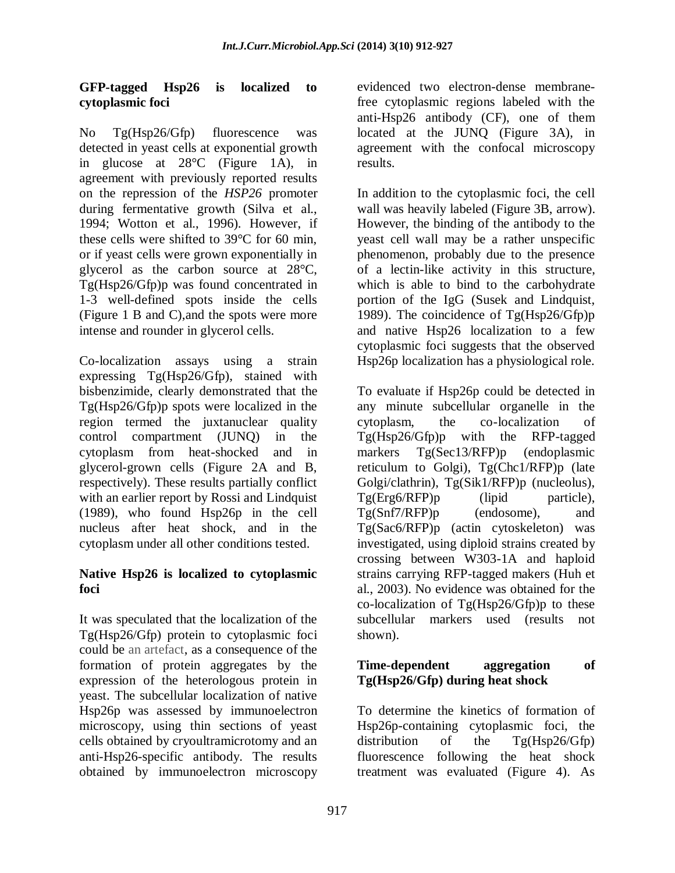### **GFP-tagged Hsp26 is localized to cytoplasmic foci**

No Tg(Hsp26/Gfp) fluorescence was detected in yeast cells at exponential growth in glucose at 28°C (Figure 1A), in agreement with previously reported results on the repression of the *HSP26* promoter during fermentative growth (Silva et al., 1994; Wotton et al., 1996). However, if these cells were shifted to 39°C for 60 min, or if yeast cells were grown exponentially in glycerol as the carbon source at 28°C, Tg(Hsp26/Gfp)p was found concentrated in 1-3 well-defined spots inside the cells (Figure 1 B and C),and the spots were more intense and rounder in glycerol cells.

Co-localization assays using a strain expressing Tg(Hsp26/Gfp), stained with bisbenzimide, clearly demonstrated that the Tg(Hsp26/Gfp)p spots were localized in the region termed the juxtanuclear quality control compartment (JUNQ) in the cytoplasm from heat-shocked and in glycerol-grown cells (Figure 2A and B, respectively). These results partially conflict with an earlier report by Rossi and Lindquist (1989), who found Hsp26p in the cell nucleus after heat shock, and in the cytoplasm under all other conditions tested.

### **Native Hsp26 is localized to cytoplasmic foci**

It was speculated that the localization of the Tg(Hsp26/Gfp) protein to cytoplasmic foci could be an artefact, as a consequence of the formation of protein aggregates by the expression of the heterologous protein in yeast. The subcellular localization of native Hsp26p was assessed by immunoelectron microscopy, using thin sections of yeast cells obtained by cryoultramicrotomy and an anti-Hsp26-specific antibody. The results obtained by immunoelectron microscopy

evidenced two electron-dense membranefree cytoplasmic regions labeled with the anti-Hsp26 antibody (CF), one of them located at the JUNQ (Figure 3A), in agreement with the confocal microscopy results.

In addition to the cytoplasmic foci, the cell wall was heavily labeled (Figure 3B, arrow). However, the binding of the antibody to the yeast cell wall may be a rather unspecific phenomenon, probably due to the presence of a lectin-like activity in this structure, which is able to bind to the carbohydrate portion of the IgG (Susek and Lindquist, 1989). The coincidence of Tg(Hsp26/Gfp)p and native Hsp26 localization to a few cytoplasmic foci suggests that the observed Hsp26p localization has a physiological role.

To evaluate if Hsp26p could be detected in any minute subcellular organelle in the cytoplasm, the co-localization of Tg(Hsp26/Gfp)p with the RFP-tagged markers Tg(Sec13/RFP)p (endoplasmic reticulum to Golgi), Tg(Chc1/RFP)p (late Golgi/clathrin), Tg(Sik1/RFP)p (nucleolus), Tg(Erg6/RFP)p (lipid particle), Tg(Snf7/RFP)p (endosome), and Tg(Sac6/RFP)p (actin cytoskeleton) was investigated, using diploid strains created by crossing between W303-1A and haploid strains carrying RFP-tagged makers (Huh et al., 2003). No evidence was obtained for the co-localization of  $Tg(Hsp26/Gfp)p$  to these subcellular markers used (results not shown).

### **Time-dependent aggregation of Tg(Hsp26/Gfp) during heat shock**

To determine the kinetics of formation of Hsp26p-containing cytoplasmic foci, the distribution of the Tg(Hsp26/Gfp) fluorescence following the heat shock treatment was evaluated (Figure 4). As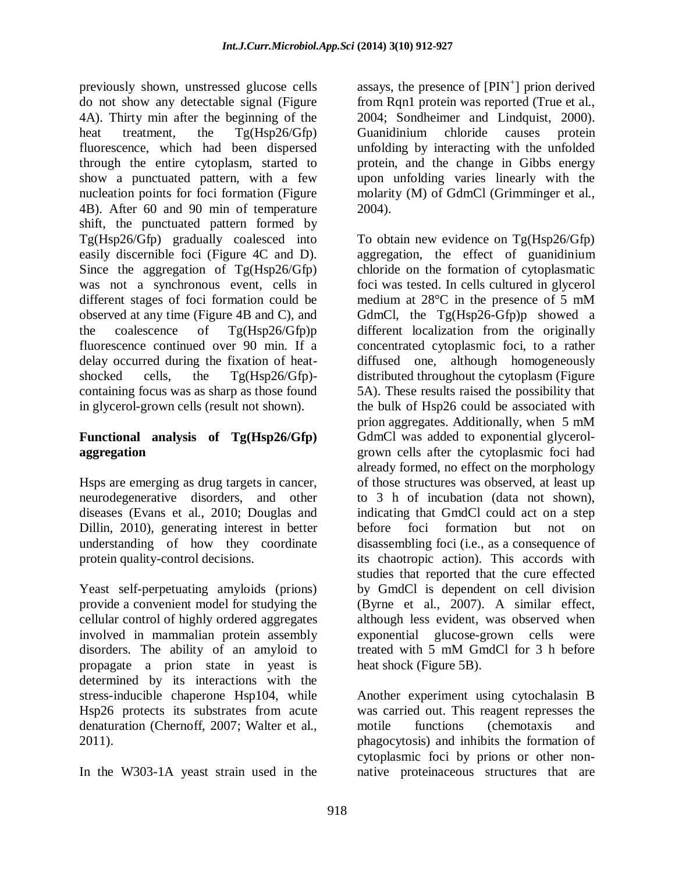previously shown, unstressed glucose cells do not show any detectable signal (Figure 4A). Thirty min after the beginning of the heat treatment, the Tg(Hsp26/Gfp) fluorescence, which had been dispersed through the entire cytoplasm, started to show a punctuated pattern, with a few nucleation points for foci formation (Figure 4B). After 60 and 90 min of temperature shift, the punctuated pattern formed by Tg(Hsp26/Gfp) gradually coalesced into easily discernible foci (Figure 4C and D). Since the aggregation of Tg(Hsp26/Gfp) was not a synchronous event, cells in different stages of foci formation could be observed at any time (Figure 4B and C), and the coalescence of Tg(Hsp26/Gfp)p fluorescence continued over 90 min. If a delay occurred during the fixation of heatshocked cells, the Tg(Hsp26/Gfp) containing focus was as sharp as those found in glycerol-grown cells (result not shown).

## **Functional analysis of Tg(Hsp26/Gfp) aggregation**

Hsps are emerging as drug targets in cancer, neurodegenerative disorders, and other diseases (Evans et al., 2010; Douglas and Dillin, 2010), generating interest in better understanding of how they coordinate protein quality-control decisions.

Yeast self-perpetuating amyloids (prions) provide a convenient model for studying the cellular control of highly ordered aggregates involved in mammalian protein assembly disorders. The ability of an amyloid to propagate a prion state in yeast is determined by its interactions with the stress-inducible chaperone Hsp104, while Hsp26 protects its substrates from acute denaturation (Chernoff, 2007; Walter et al., 2011).

In the W303-1A yeast strain used in the

assays, the presence of  $[PIN^+]$  prion derived from Rqn1 protein was reported (True et al., 2004; Sondheimer and Lindquist, 2000). Guanidinium chloride causes protein unfolding by interacting with the unfolded protein, and the change in Gibbs energy upon unfolding varies linearly with the molarity (M) of GdmCl (Grimminger et al., 2004).

To obtain new evidence on Tg(Hsp26/Gfp) aggregation, the effect of guanidinium chloride on the formation of cytoplasmatic foci was tested. In cells cultured in glycerol medium at 28°C in the presence of 5 mM GdmCl, the Tg(Hsp26-Gfp)p showed a different localization from the originally concentrated cytoplasmic foci, to a rather diffused one, although homogeneously distributed throughout the cytoplasm (Figure 5A). These results raised the possibility that the bulk of Hsp26 could be associated with prion aggregates. Additionally, when 5 mM GdmCl was added to exponential glycerolgrown cells after the cytoplasmic foci had already formed, no effect on the morphology of those structures was observed, at least up to 3 h of incubation (data not shown), indicating that GmdCl could act on a step before foci formation but not on disassembling foci (i.e., as a consequence of its chaotropic action). This accords with studies that reported that the cure effected by GmdCl is dependent on cell division (Byrne et al., 2007). A similar effect, although less evident, was observed when exponential glucose-grown cells were treated with 5 mM GmdCl for 3 h before heat shock (Figure 5B).

Another experiment using cytochalasin B was carried out. This reagent represses the motile functions (chemotaxis and phagocytosis) and inhibits the formation of cytoplasmic foci by prions or other nonnative proteinaceous structures that are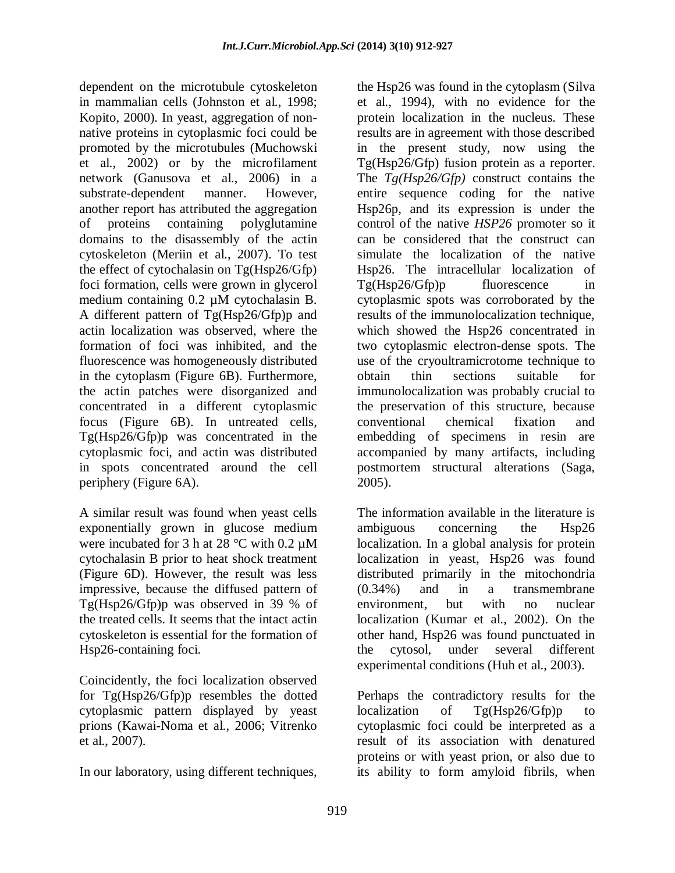dependent on the microtubule cytoskeleton in mammalian cells (Johnston et al., 1998; Kopito, 2000). In yeast, aggregation of nonnative proteins in cytoplasmic foci could be promoted by the microtubules (Muchowski et al., 2002) or by the microfilament network (Ganusova et al., 2006) in a substrate-dependent manner. However, another report has attributed the aggregation of proteins containing polyglutamine domains to the disassembly of the actin cytoskeleton (Meriin et al., 2007). To test the effect of cytochalasin on Tg(Hsp26/Gfp) foci formation, cells were grown in glycerol medium containing 0.2 µM cytochalasin B. A different pattern of Tg(Hsp26/Gfp)p and actin localization was observed, where the formation of foci was inhibited, and the fluorescence was homogeneously distributed in the cytoplasm (Figure 6B). Furthermore, the actin patches were disorganized and concentrated in a different cytoplasmic focus (Figure 6B). In untreated cells, Tg(Hsp26/Gfp)p was concentrated in the cytoplasmic foci, and actin was distributed in spots concentrated around the cell periphery (Figure 6A).

A similar result was found when yeast cells exponentially grown in glucose medium were incubated for 3 h at 28 °C with 0.2  $\mu$ M cytochalasin B prior to heat shock treatment (Figure 6D). However, the result was less impressive, because the diffused pattern of Tg(Hsp26/Gfp)p was observed in 39 % of the treated cells. It seems that the intact actin cytoskeleton is essential for the formation of Hsp26-containing foci.

Coincidently, the foci localization observed for Tg(Hsp26/Gfp)p resembles the dotted cytoplasmic pattern displayed by yeast prions (Kawai-Noma et al., 2006; Vitrenko et al., 2007).

In our laboratory, using different techniques,

the Hsp26 was found in the cytoplasm (Silva et al., 1994), with no evidence for the protein localization in the nucleus. These results are in agreement with those described in the present study, now using the Tg(Hsp26/Gfp) fusion protein as a reporter. The *Tg(Hsp26/Gfp)* construct contains the entire sequence coding for the native Hsp26p, and its expression is under the control of the native *HSP26* promoter so it can be considered that the construct can simulate the localization of the native Hsp26. The intracellular localization of Tg(Hsp26/Gfp)p fluorescence in cytoplasmic spots was corroborated by the results of the immunolocalization technique, which showed the Hsp26 concentrated in two cytoplasmic electron-dense spots. The use of the cryoultramicrotome technique to obtain thin sections suitable for immunolocalization was probably crucial to the preservation of this structure, because conventional chemical fixation and embedding of specimens in resin are accompanied by many artifacts, including postmortem structural alterations (Saga, 2005).

The information available in the literature is ambiguous concerning the Hsp26 localization. In a global analysis for protein localization in yeast, Hsp26 was found distributed primarily in the mitochondria (0.34%) and in a transmembrane environment, but with no nuclear localization (Kumar et al., 2002). On the other hand, Hsp26 was found punctuated in the cytosol, under several different experimental conditions (Huh et al., 2003).

Perhaps the contradictory results for the localization of Tg(Hsp26/Gfp)p to cytoplasmic foci could be interpreted as a result of its association with denatured proteins or with yeast prion, or also due to its ability to form amyloid fibrils, when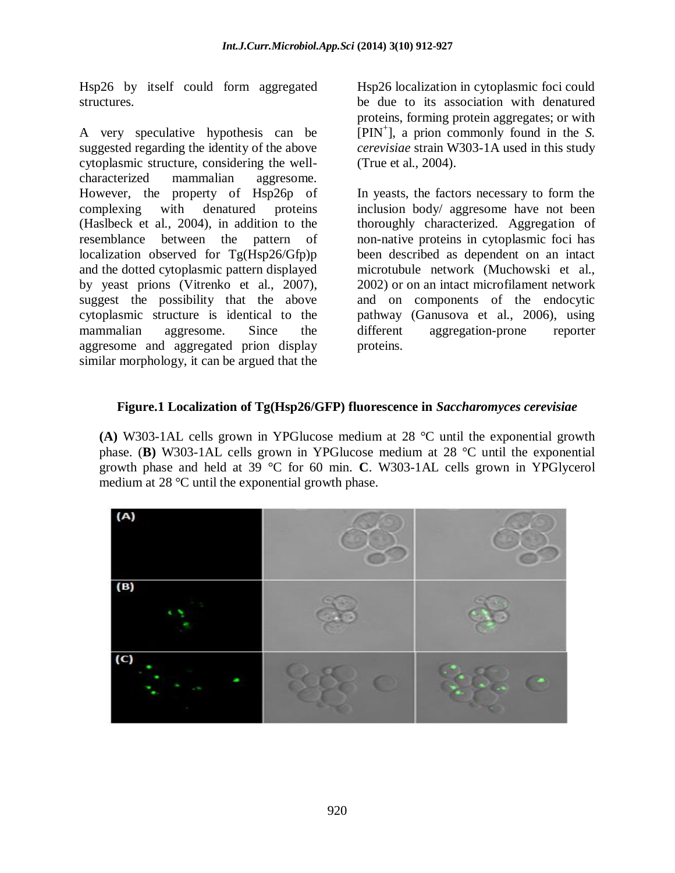Hsp26 by itself could form aggregated structures.

A very speculative hypothesis can be suggested regarding the identity of the above cytoplasmic structure, considering the wellcharacterized mammalian aggresome. However, the property of Hsp26p of complexing with denatured proteins (Haslbeck et al., 2004), in addition to the resemblance between the pattern of localization observed for Tg(Hsp26/Gfp)p and the dotted cytoplasmic pattern displayed by yeast prions (Vitrenko et al., 2007), suggest the possibility that the above cytoplasmic structure is identical to the mammalian aggresome. Since the aggresome and aggregated prion display similar morphology, it can be argued that the Hsp26 localization in cytoplasmic foci could be due to its association with denatured proteins, forming protein aggregates; or with [PIN<sup>+</sup> ], a prion commonly found in the *S. cerevisiae* strain W303-1A used in this study (True et al., 2004).

In yeasts, the factors necessary to form the inclusion body/ aggresome have not been thoroughly characterized. Aggregation of non-native proteins in cytoplasmic foci has been described as dependent on an intact microtubule network (Muchowski et al., 2002) or on an intact microfilament network and on components of the endocytic pathway (Ganusova et al., 2006), using different aggregation-prone reporter proteins.

### **Figure.1 Localization of Tg(Hsp26/GFP) fluorescence in** *Saccharomyces cerevisiae*

**(A)** W303-1AL cells grown in YPGlucose medium at 28 °C until the exponential growth phase. (**B)** W303-1AL cells grown in YPGlucose medium at 28 °C until the exponential growth phase and held at 39 °C for 60 min. **C**. W303-1AL cells grown in YPGlycerol medium at 28 °C until the exponential growth phase.

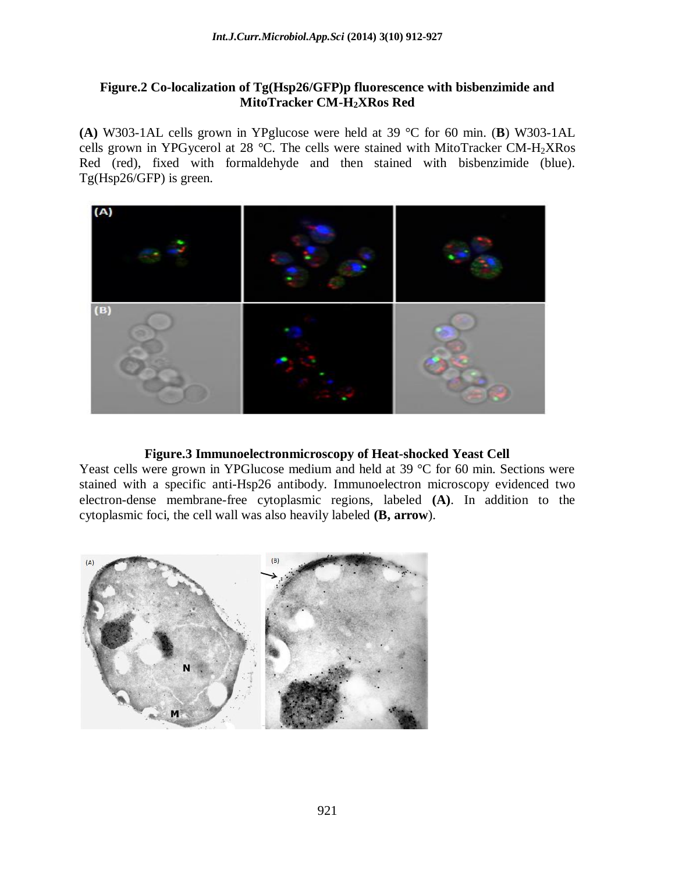#### **Figure.2 Co-localization of Tg(Hsp26/GFP)p fluorescence with bisbenzimide and MitoTracker CM-H2XRos Red**

**(A)** W303-1AL cells grown in YPglucose were held at 39 °C for 60 min. (**B**) W303-1AL cells grown in YPGycerol at 28 °C. The cells were stained with MitoTracker CM-H<sub>2</sub>XRos Red (red), fixed with formaldehyde and then stained with bisbenzimide (blue). Tg(Hsp26/GFP) is green.



#### **Figure.3 Immunoelectronmicroscopy of Heat-shocked Yeast Cell**

Yeast cells were grown in YPGlucose medium and held at 39 °C for 60 min. Sections were stained with a specific anti-Hsp26 antibody. Immunoelectron microscopy evidenced two electron-dense membrane-free cytoplasmic regions, labeled **(A)**. In addition to the cytoplasmic foci, the cell wall was also heavily labeled **(B, arrow**).

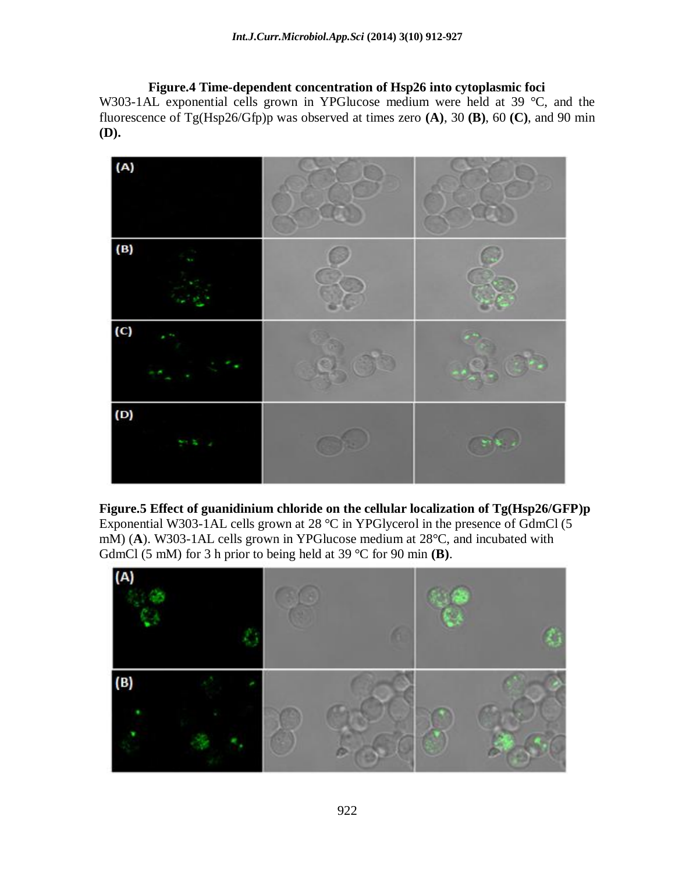**Figure.4 Time-dependent concentration of Hsp26 into cytoplasmic foci** W303-1AL exponential cells grown in YPGlucose medium were held at 39 °C, and the fluorescence of Tg(Hsp26/Gfp)p was observed at times zero **(A)**, 30 **(B)**, 60 **(C)**, and 90 min **(D).**



**Figure.5 Effect of guanidinium chloride on the cellular localization of Tg(Hsp26/GFP)p** Exponential W303-1AL cells grown at 28 °C in YPGlycerol in the presence of GdmCl (5 mM) (**A**). W303-1AL cells grown in YPGlucose medium at 28°C, and incubated with GdmCl (5 mM) for 3 h prior to being held at 39 °C for 90 min **(B)**.

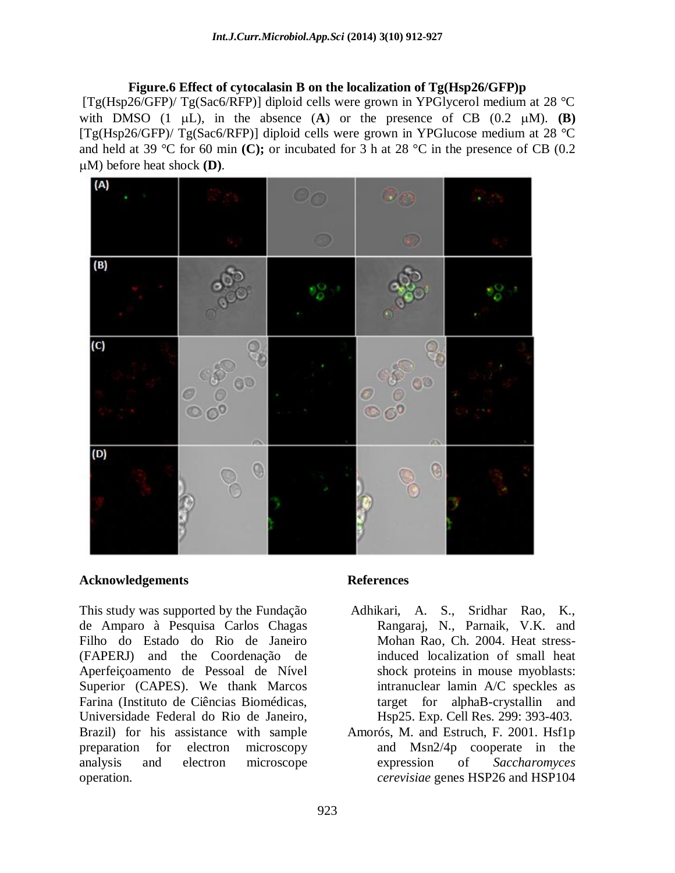**Figure.6 Effect of cytocalasin B on the localization of Tg(Hsp26/GFP)p** [Tg(Hsp26/GFP)/ Tg(Sac6/RFP)] diploid cells were grown in YPGlycerol medium at 28 °C with DMSO  $(1 \mu L)$ , in the absence  $(A)$  or the presence of CB  $(0.2 \mu M)$ . **(B)**  $[Tg(Hsp26/GFP)/Tg(Sac6/RFP)]$  diploid cells were grown in YPGlucose medium at 28 °C and held at 39 °C for 60 min **(C);** or incubated for 3 h at 28 °C in the presence of CB (0.2 M) before heat shock **(D)**.



#### **Acknowledgements**

This study was supported by the Fundação de Amparo à Pesquisa Carlos Chagas Filho do Estado do Rio de Janeiro (FAPERJ) and the Coordenação de Aperfeiçoamento de Pessoal de Nível Superior (CAPES). We thank Marcos Farina (Instituto de Ciências Biomédicas, Universidade Federal do Rio de Janeiro, Brazil) for his assistance with sample preparation for electron microscopy analysis and electron microscope operation.

#### **References**

- Adhikari, A. S., Sridhar Rao, K., Rangaraj, N., Parnaik, V.K. and Mohan Rao, Ch. 2004. Heat stressinduced localization of small heat shock proteins in mouse myoblasts: intranuclear lamin A/C speckles as target for alphaB-crystallin and Hsp25. Exp. Cell Res. 299: 393-403.
- Amorós, M. and Estruch, F. 2001. Hsf1p and Msn2/4p cooperate in the expression of *Saccharomyces cerevisiae* genes HSP26 and HSP104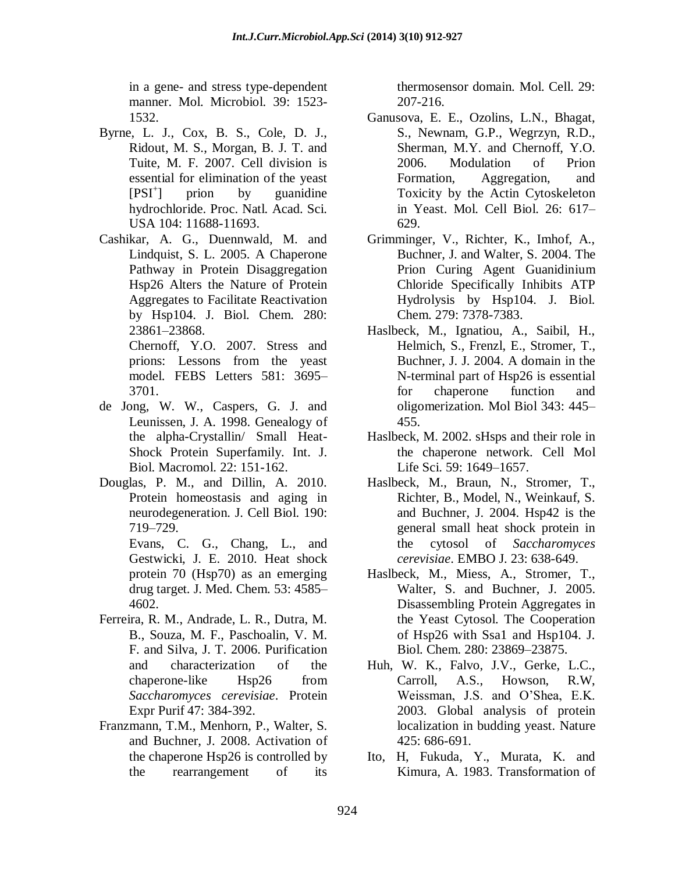in a gene- and stress type-dependent manner. Mol. Microbiol. 39: 1523- 1532.

- Byrne, L. J., Cox, B. S., Cole, D. J., Ridout, M. S., Morgan, B. J. T. and Tuite, M. F. 2007. Cell division is essential for elimination of the yeast  $[PSI^+]$ prion by guanidine hydrochloride. Proc. Natl. Acad. Sci. USA 104: 11688-11693.
- Cashikar, A. G., Duennwald, M. and Lindquist, S. L. 2005. A Chaperone Pathway in Protein Disaggregation Hsp26 Alters the Nature of Protein Aggregates to Facilitate Reactivation by Hsp104. J. Biol. Chem. 280: 23861–23868. Chernoff, Y.O. 2007. Stress and

prions: Lessons from the yeast model. FEBS Letters 581: 3695– 3701.

- de Jong, W. W., Caspers, G. J. and Leunissen, J. A. 1998. Genealogy of the alpha-Crystallin/ Small Heat-Shock Protein Superfamily. Int. J. Biol. Macromol. 22: 151-162.
- Douglas, P. M., and Dillin, A. 2010. Protein homeostasis and aging in neurodegeneration. J. Cell Biol. 190: 719–729.

Evans, C. G., Chang, L., and Gestwicki, J. E. 2010. Heat shock protein 70 (Hsp70) as an emerging drug target. J. Med. Chem. 53: 4585– 4602.

- Ferreira, R. M., Andrade, L. R., Dutra, M. B., Souza, M. F., Paschoalin, V. M. F. and Silva, J. T. 2006. Purification and characterization of the chaperone-like Hsp26 from *Saccharomyces cerevisiae*. Protein Expr Purif 47: 384-392.
- Franzmann, T.M., Menhorn, P., Walter, S. and Buchner, J. 2008. Activation of the chaperone Hsp26 is controlled by the rearrangement of its

thermosensor domain. Mol. Cell. 29: 207-216.

- Ganusova, E. E., Ozolins, L.N., Bhagat, S., Newnam, G.P., Wegrzyn, R.D., Sherman, M.Y. and Chernoff, Y.O. 2006. Modulation of Prion Formation, Aggregation, and Toxicity by the Actin Cytoskeleton in Yeast. Mol. Cell Biol. 26: 617– 629.
- Grimminger, V., Richter, K., Imhof, A., Buchner, J. and Walter, S. 2004. The Prion Curing Agent Guanidinium Chloride Specifically Inhibits ATP Hydrolysis by Hsp104. J. Biol. Chem. 279: 7378-7383.
- Haslbeck, M., Ignatiou, A., Saibil, H., Helmich, S., Frenzl, E., Stromer, T., Buchner, J. J. 2004. A domain in the N-terminal part of Hsp26 is essential for chaperone function and oligomerization. Mol Biol 343: 445– 455.
- Haslbeck, M. 2002. sHsps and their role in the chaperone network. Cell Mol Life Sci. 59: 1649–1657.
- Haslbeck, M., Braun, N., Stromer, T., Richter, B., Model, N., Weinkauf, S. and Buchner, J. 2004. Hsp42 is the general small heat shock protein in the cytosol of *Saccharomyces cerevisiae*. EMBO J. 23: 638-649.
- Haslbeck, M., Miess, A., Stromer, T., Walter, S. and Buchner, J. 2005. Disassembling Protein Aggregates in the Yeast Cytosol. The Cooperation of Hsp26 with Ssa1 and Hsp104. J. Biol. Chem. 280: 23869–23875.
- Huh, W. K., Falvo, J.V., Gerke, L.C., Carroll, A.S., Howson, R.W, Weissman, J.S. and O'Shea, E.K. 2003. Global analysis of protein localization in budding yeast. Nature 425: 686-691.
- Ito, H, Fukuda, Y., Murata, K. and Kimura, A. 1983. Transformation of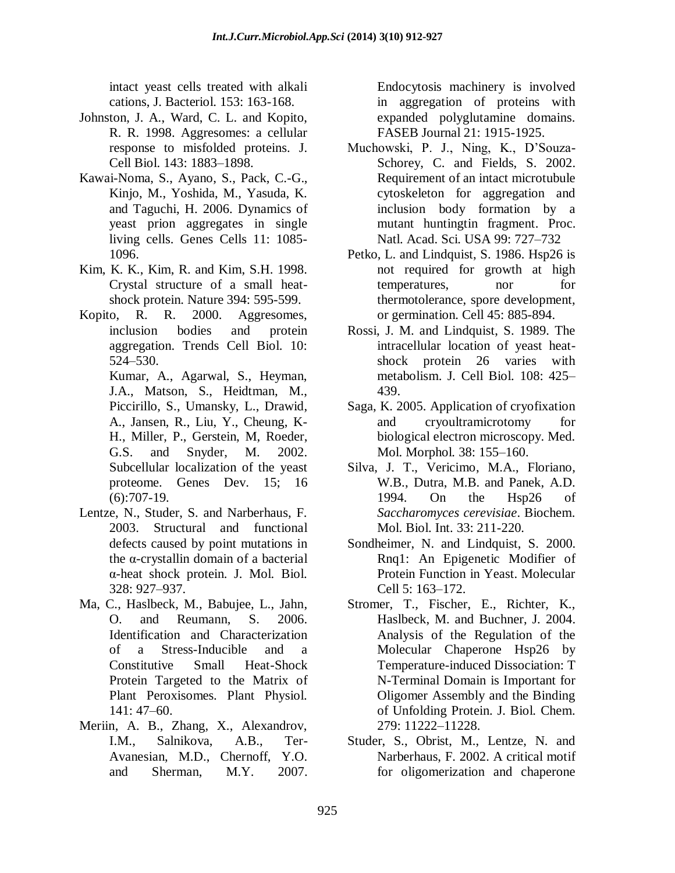intact yeast cells treated with alkali cations, J. Bacteriol. 153: 163-168.

- Johnston, J. A., Ward, C. L. and Kopito, R. R. 1998. Aggresomes: a cellular response to misfolded proteins. J. Cell Biol. 143: 1883–1898.
- Kawai-Noma, S., Ayano, S., Pack, C.-G., Kinjo, M., Yoshida, M., Yasuda, K. and Taguchi, H. 2006. Dynamics of yeast prion aggregates in single living cells. Genes Cells 11: 1085- 1096.
- Kim, K. K., Kim, R. and Kim, S.H. 1998. Crystal structure of a small heatshock protein. Nature 394: 595-599.
- Kopito, R. R. 2000. Aggresomes, inclusion bodies and protein aggregation. Trends Cell Biol. 10: 524–530.

Kumar, A., Agarwal, S., Heyman, J.A., Matson, S., Heidtman, M., Piccirillo, S., Umansky, L., Drawid, A., Jansen, R., Liu, Y., Cheung, K-H., Miller, P., Gerstein, M, Roeder, G.S. and Snyder, M. 2002. Subcellular localization of the yeast proteome. [Genes Dev.](http://www.ncbi.nlm.nih.gov/pubmed/11914276) 15; 16  $(6):707-19.$ 

- Lentze, N., Studer, S. and Narberhaus, F. 2003. Structural and functional defects caused by point mutations in the α-crystallin domain of a bacterial α-heat shock protein. J. Mol. Biol. 328: 927–937.
- Ma, C., Haslbeck, M., Babujee, L., Jahn, O. and Reumann, S. 2006. Identification and Characterization of a Stress-Inducible and a Constitutive Small Heat-Shock Protein Targeted to the Matrix of Plant Peroxisomes. Plant Physiol. 141: 47–60.
- Meriin, A. B., Zhang, X., Alexandrov, I.M., Salnikova, A.B., Ter-Avanesian, M.D., Chernoff, Y.O. and Sherman, M.Y. 2007.

Endocytosis machinery is involved in aggregation of proteins with expanded polyglutamine domains. FASEB Journal 21: 1915-1925.

- Muchowski, P. J., Ning, K., D'Souza-Schorey, C. and Fields, S. 2002. Requirement of an intact microtubule cytoskeleton for aggregation and inclusion body formation by a mutant huntingtin fragment. Proc. Natl. Acad. Sci. USA 99: 727–732
- Petko, L. and Lindquist, S. 1986. Hsp26 is not required for growth at high temperatures, nor for thermotolerance, spore development, or germination. Cell 45: 885-894.
- Rossi, J. M. and Lindquist, S. 1989. The intracellular location of yeast heatshock protein 26 varies with metabolism. J. Cell Biol. 108: 425– 439.
- Saga, K. 2005. Application of cryofixation and cryoultramicrotomy for biological electron microscopy. Med. Mol. Morphol. 38: 155–160.
- Silva, J. T., Vericimo, M.A., Floriano, W.B., Dutra, M.B. and Panek, A.D. 1994. On the Hsp26 of *Saccharomyces cerevisiae*. Biochem. Mol. Biol. Int. 33: 211-220.
- Sondheimer, N. and Lindquist, S. 2000. Rnq1: An Epigenetic Modifier of Protein Function in Yeast. Molecular Cell 5: 163–172.
- Stromer, T., Fischer, E., Richter, K., Haslbeck, M. and Buchner, J. 2004. Analysis of the Regulation of the Molecular Chaperone Hsp26 by Temperature-induced Dissociation: T N-Terminal Domain is Important for Oligomer Assembly and the Binding of Unfolding Protein. J. Biol. Chem. 279: 11222–11228.
- Studer, S., Obrist, M., Lentze, N. and Narberhaus, F. 2002. A critical motif for oligomerization and chaperone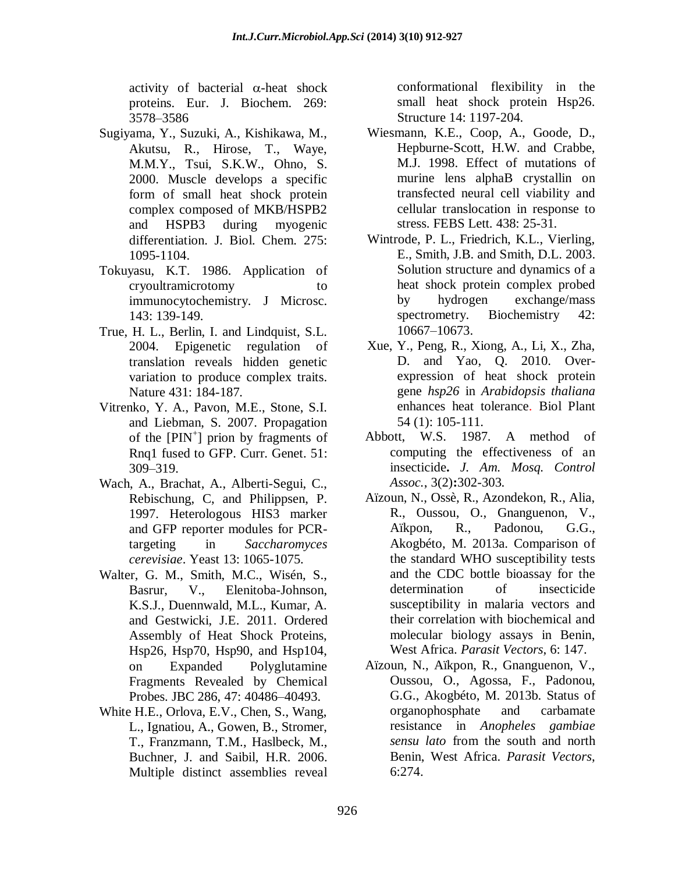activity of bacterial  $\alpha$ -heat shock proteins. Eur. J. Biochem. 269: 3578–3586

- Sugiyama, Y., Suzuki, A., Kishikawa, M., Akutsu, R., Hirose, T., Waye, M.M.Y., Tsui, S.K.W., Ohno, S. 2000. Muscle develops a specific form of small heat shock protein complex composed of MKB/HSPB2 and HSPB3 during myogenic differentiation. J. Biol. Chem. 275: 1095-1104.
- Tokuyasu, K.T. 1986. Application of cryoultramicrotomy to immunocytochemistry. J Microsc. 143: 139-149.
- True, H. L., Berlin, I. and Lindquist, S.L. 2004. Epigenetic regulation of translation reveals hidden genetic variation to produce complex traits. Nature 431: 184-187.
- Vitrenko, Y. A., Pavon, M.E., Stone, S.I. and Liebman, S. 2007. Propagation of the  $[PIN^+]$  prion by fragments of Rnq1 fused to GFP. Curr. Genet. 51: 309–319.
- Wach, A., Brachat, A., Alberti-Segui, C., Rebischung, C, and Philippsen, P. 1997. Heterologous HIS3 marker and GFP reporter modules for PCRtargeting in *Saccharomyces cerevisiae*. Yeast 13: 1065-1075.
- Walter, G. M., Smith, M.C., Wisén, S., Basrur, V., Elenitoba-Johnson, K.S.J., Duennwald, M.L., Kumar, A. and Gestwicki, J.E. 2011. Ordered Assembly of Heat Shock Proteins, Hsp26, Hsp70, Hsp90, and Hsp104, on Expanded Polyglutamine Fragments Revealed by Chemical Probes. JBC 286, 47: 40486–40493.
- White H.E., Orlova, E.V., Chen, S., Wang, L., Ignatiou, A., Gowen, B., Stromer, T., Franzmann, T.M., Haslbeck, M., Buchner, J. and Saibil, H.R. 2006. Multiple distinct assemblies reveal

conformational flexibility in the small heat shock protein Hsp26. Structure 14: 1197-204.

- Wiesmann, K.E., Coop, A., Goode, D., Hepburne-Scott, H.W. and Crabbe, M.J. 1998. Effect of mutations of murine lens alphaB crystallin on transfected neural cell viability and cellular translocation in response to stress. FEBS Lett. 438: 25-31.
- Wintrode, P. L., Friedrich, K.L., Vierling, E., Smith, J.B. and Smith, D.L. 2003. Solution structure and dynamics of a heat shock protein complex probed by hydrogen exchange/mass spectrometry. Biochemistry 42: 10667–10673.
- Xue, Y., Peng, R., Xiong, A., Li, X., Zha, D. and Yao, Q. 2010. Overexpression of heat shock protein gene *hsp26* in *Arabidopsis thaliana*  enhances heat tolerance. Biol Plant 54 (1): 105-111.
- Abbott, W.S. 1987. A method of computing the effectiveness of an insecticide**.** *J. Am. Mosq. Control Assoc.*, 3(2)**:**302-303.
- Aïzoun, N., Ossè, R., Azondekon, R., Alia, R., Oussou, O., Gnanguenon, V., Aïkpon, R., Padonou, G.G., Akogbéto, M. 2013a. Comparison of the standard WHO susceptibility tests and the CDC bottle bioassay for the determination of insecticide susceptibility in malaria vectors and their correlation with biochemical and molecular biology assays in Benin, West Africa. *Parasit Vectors*, 6: 147.
- Aïzoun, N., Aïkpon, R., Gnanguenon, V., Oussou, O., Agossa, F., Padonou, G.G., Akogbéto, M. 2013b. Status of organophosphate and carbamate resistance in *Anopheles gambiae sensu lato* from the south and north Benin, West Africa. *Parasit Vectors*, 6:274.